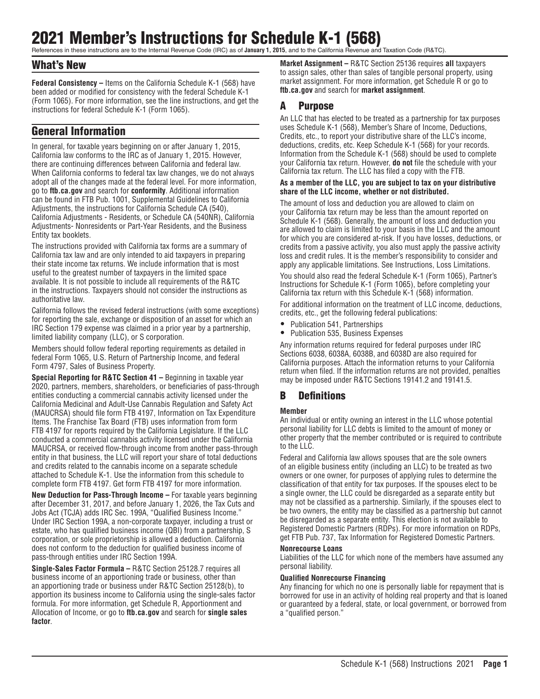# 2021 Member's Instructions for Schedule K-1 (568)

References in these instructions are to the Internal Revenue Code (IRC) as of **January 1, 2015**, and to the California Revenue and Taxation Code (R&TC).

# What's New

**Federal Consistency –** Items on the California Schedule K-1 (568) have been added or modified for consistency with the federal Schedule K-1 (Form 1065). For more information, see the line instructions, and get the instructions for federal Schedule K-1 (Form 1065).

# General Information

In general, for taxable years beginning on or after January 1, 2015, California law conforms to the IRC as of January 1, 2015. However, there are continuing differences between California and federal law. When California conforms to federal tax law changes, we do not always adopt all of the changes made at the federal level. For more information, go to **ftb.ca.gov** and search for **conformity**. Additional information can be found in FTB Pub. 1001, Supplemental Guidelines to California Adjustments, the instructions for California Schedule CA (540), California Adjustments - Residents, or Schedule CA (540NR), California Adjustments- Nonresidents or Part-Year Residents, and the Business Entity tax booklets.

The instructions provided with California tax forms are a summary of California tax law and are only intended to aid taxpayers in preparing their state income tax returns. We include information that is most useful to the greatest number of taxpayers in the limited space available. It is not possible to include all requirements of the R&TC in the instructions. Taxpayers should not consider the instructions as authoritative law.

California follows the revised federal instructions (with some exceptions) for reporting the sale, exchange or disposition of an asset for which an IRC Section 179 expense was claimed in a prior year by a partnership, limited liability company (LLC), or S corporation.

Members should follow federal reporting requirements as detailed in federal Form 1065, U.S. Return of Partnership Income, and federal Form 4797, Sales of Business Property.

**Special Reporting for R&TC Section 41 –** Beginning in taxable year 2020, partners, members, shareholders, or beneficiaries of pass-through entities conducting a commercial cannabis activity licensed under the California Medicinal and Adult-Use Cannabis Regulation and Safety Act (MAUCRSA) should file form FTB 4197, Information on Tax Expenditure Items. The Franchise Tax Board (FTB) uses information from form FTB 4197 for reports required by the California Legislature. If the LLC conducted a commercial cannabis activity licensed under the California MAUCRSA, or received flow-through income from another pass-through entity in that business, the LLC will report your share of total deductions and credits related to the cannabis income on a separate schedule attached to Schedule K-1. Use the information from this schedule to complete form FTB 4197. Get form FTB 4197 for more information.

**New Deduction for Pass-Through Income –** For taxable years beginning after December 31, 2017, and before January 1, 2026, the Tax Cuts and Jobs Act (TCJA) adds IRC Sec. 199A, "Qualified Business Income." Under IRC Section 199A, a non-corporate taxpayer, including a trust or estate, who has qualified business income (QBI) from a partnership, S corporation, or sole proprietorship is allowed a deduction. California does not conform to the deduction for qualified business income of pass-through entities under IRC Section 199A.

**Single-Sales Factor Formula –** R&TC Section 25128.7 requires all business income of an apportioning trade or business, other than an apportioning trade or business under R&TC Section 25128(b), to apportion its business income to California using the single-sales factor formula. For more information, get Schedule R, Apportionment and Allocation of Income, or go to **ftb.ca.gov** and search for **single sales factor**.

**Market Assignment –** R&TC Section 25136 requires **all** taxpayers to assign sales, other than sales of tangible personal property, using market assignment. For more information, get Schedule R or go to **ftb.ca.gov** and search for **market assignment**.

# A Purpose

An LLC that has elected to be treated as a partnership for tax purposes uses Schedule K-1 (568), Member's Share of Income, Deductions, Credits, etc., to report your distributive share of the LLC's income, deductions, credits, etc. Keep Schedule K-1 (568) for your records. Information from the Schedule K-1 (568) should be used to complete your California tax return. However, **do not** file the schedule with your California tax return. The LLC has filed a copy with the FTB.

#### **As a member of the LLC, you are subject to tax on your distributive share of the LLC income, whether or not distributed.**

The amount of loss and deduction you are allowed to claim on your California tax return may be less than the amount reported on Schedule K-1 (568). Generally, the amount of loss and deduction you are allowed to claim is limited to your basis in the LLC and the amount for which you are considered at-risk. If you have losses, deductions, or credits from a passive activity, you also must apply the passive activity loss and credit rules. It is the member's responsibility to consider and apply any applicable limitations. See Instructions, Loss Limitations. You should also read the federal Schedule K-1 (Form 1065), Partner's Instructions for Schedule K-1 (Form 1065), before completing your California tax return with this Schedule K-1 (568) information.

For additional information on the treatment of LLC income, deductions, credits, etc., get the following federal publications:

- Publication 541, Partnerships
- Publication 535, Business Expenses

Any information returns required for federal purposes under IRC Sections 6038, 6038A, 6038B, and 6038D are also required for California purposes. Attach the information returns to your California return when filed. If the information returns are not provided, penalties may be imposed under R&TC Sections 19141.2 and 19141.5.

# B Definitions

### **Member**

An individual or entity owning an interest in the LLC whose potential personal liability for LLC debts is limited to the amount of money or other property that the member contributed or is required to contribute to the LLC.

Federal and California law allows spouses that are the sole owners of an eligible business entity (including an LLC) to be treated as two owners or one owner, for purposes of applying rules to determine the classification of that entity for tax purposes. If the spouses elect to be a single owner, the LLC could be disregarded as a separate entity but may not be classified as a partnership. Similarly, if the spouses elect to be two owners, the entity may be classified as a partnership but cannot be disregarded as a separate entity. This election is not available to Registered Domestic Partners (RDPs). For more information on RDPs, get FTB Pub. 737, Tax Information for Registered Domestic Partners.

#### **Nonrecourse Loans**

Liabilities of the LLC for which none of the members have assumed any personal liability.

#### **Qualified Nonrecourse Financing**

Any financing for which no one is personally liable for repayment that is borrowed for use in an activity of holding real property and that is loaned or guaranteed by a federal, state, or local government, or borrowed from a "qualified person."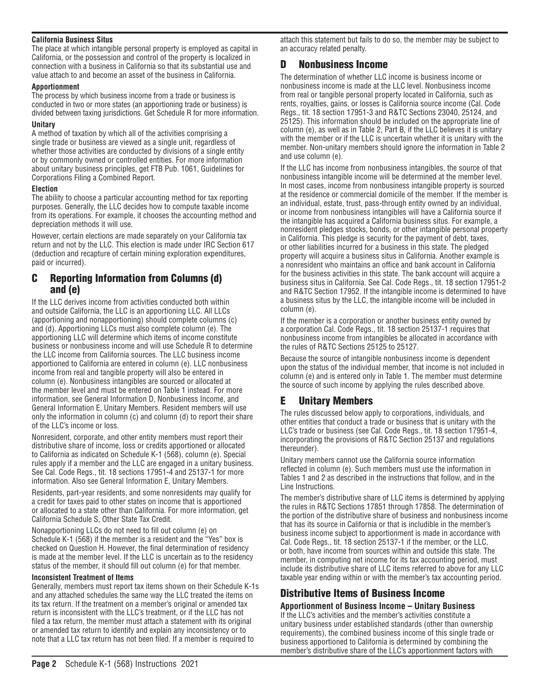#### **California Business Situs**

The place at which intangible personal property is employed as capital in California, or the possession and control of the property is localized in connection with a business in California so that its substantial use and value attach to and become an asset of the business in California.

#### **Apportionment**

The process by which business income from a trade or business is conducted in two or more states (an apportioning trade or business) is divided between taxing jurisdictions. Get Schedule R for more information.

#### **Unitary**

A method of taxation by which all of the activities comprising a single trade or business are viewed as a single unit, regardless of whether those activities are conducted by divisions of a single entity or by commonly owned or controlled entities. For more information about unitary business principles, get FTB Pub. 1061, Guidelines for Corporations Filing a Combined Report.

#### **Election**

The ability to choose a particular accounting method for tax reporting purposes. Generally, the LLC decides how to compute taxable income from its operations. For example, it chooses the accounting method and depreciation methods it will use.

However, certain elections are made separately on your California tax return and not by the LLC. This election is made under IRC Section 617 (deduction and recapture of certain mining exploration expenditures, paid or incurred).

# C Reporting Information from Columns (d) and (e)

If the LLC derives income from activities conducted both within and outside California, the LLC is an apportioning LLC. All LLCs (apportioning and nonapportioning) should complete columns (c) and (d). Apportioning LLCs must also complete column (e). The apportioning LLC will determine which items of income constitute business or nonbusiness income and will use Schedule R to determine the LLC income from California sources. The LLC business income apportioned to California are entered in column (e). LLC nonbusiness income from real and tangible property will also be entered in column (e). Nonbusiness intangibles are sourced or allocated at the member level and must be entered on Table 1 instead. For more information, see General Information D, Nonbusiness Income, and General Information E, Unitary Members. Resident members will use only the information in column (c) and column (d) to report their share of the LLC's income or loss.

Nonresident, corporate, and other entity members must report their distributive share of income, loss or credits apportioned or allocated to California as indicated on Schedule K-1 (568), column (e). Special rules apply if a member and the LLC are engaged in a unitary business. See Cal. Code Regs., tit. 18 sections 17951-4 and 25137-1 for more information. Also see General Information E, Unitary Members.

Residents, part-year residents, and some nonresidents may qualify for a credit for taxes paid to other states on income that is apportioned or allocated to a state other than California. For more information, get California Schedule S, Other State Tax Credit.

Nonapportioning LLCs do not need to fill out column (e) on Schedule K-1 (568) if the member is a resident and the "Yes" box is checked on Question H. However, the final determination of residency is made at the member level. If the LLC is uncertain as to the residency status of the member, it should fill out column (e) for that member.

#### **Inconsistent Treatment of Items**

Generally, members must report tax items shown on their Schedule K-1s and any attached schedules the same way the LLC treated the items on its tax return. If the treatment on a member's original or amended tax return is inconsistent with the LLC's treatment, or if the LLC has not filed a tax return, the member must attach a statement with its original or amended tax return to identify and explain any inconsistency or to note that a LLC tax return has not been filed. If a member is required to

attach this statement but fails to do so, the member may be subject to an accuracy related penalty.

# D Nonbusiness Income

The determination of whether LLC income is business income or nonbusiness income is made at the LLC level. Nonbusiness income from real or tangible personal property located in California, such as rents, royalties, gains, or losses is California source income (Cal. Code Regs., tit. 18 section 17951-3 and R&TC Sections 23040, 25124, and 25125). This information should be included on the appropriate line of column (e), as well as in Table 2, Part B, if the LLC believes it is unitary with the member or if the LLC is uncertain whether it is unitary with the member. Non-unitary members should ignore the information in Table 2 and use column (e).

If the LLC has income from nonbusiness intangibles, the source of that nonbusiness intangible income will be determined at the member level. In most cases, income from nonbusiness intangible property is sourced at the residence or commercial domicile of the member. If the member is an individual, estate, trust, pass-through entity owned by an individual, or income from nonbusiness intangibles will have a California source if the intangible has acquired a California business situs. For example, a nonresident pledges stocks, bonds, or other intangible personal property in California. This pledge is security for the payment of debt, taxes, or other liabilities incurred for a business in this state. The pledged property will acquire a business situs in California. Another example is a nonresident who maintains an office and bank account in California for the business activities in this state. The bank account will acquire a business situs in California. See Cal. Code Regs., tit. 18 section 17951-2 and R&TC Section 17952. If the intangible income is determined to have a business situs by the LLC, the intangible income will be included in column (e).

If the member is a corporation or another business entity owned by a corporation Cal. Code Regs., tit. 18 section 25137-1 requires that nonbusiness income from intangibles be allocated in accordance with the rules of R&TC Sections 25125 to 25127.

Because the source of intangible nonbusiness income is dependent upon the status of the individual member, that income is not included in column (e) and is entered only in Table 1. The member must determine the source of such income by applying the rules described above.

# E Unitary Members

The rules discussed below apply to corporations, individuals, and other entities that conduct a trade or business that is unitary with the LLC's trade or business (see Cal. Code Regs., tit. 18 section 17951-4, incorporating the provisions of R&TC Section 25137 and regulations thereunder).

Unitary members cannot use the California source information reflected in column (e). Such members must use the information in Tables 1 and 2 as described in the instructions that follow, and in the Line Instructions.

The member's distributive share of LLC items is determined by applying the rules in R&TC Sections 17851 through 17858. The determination of the portion of the distributive share of business and nonbusiness income that has its source in California or that is includible in the member's business income subject to apportionment is made in accordance with Cal. Code Regs., tit. 18 section 25137-1 if the member, or the LLC, or both, have income from sources within and outside this state. The member, in computing net income for its tax accounting period, must include its distributive share of LLC items referred to above for any LLC taxable year ending within or with the member's tax accounting period.

# Distributive Items of Business Income

# **Apportionment of Business Income – Unitary Business**

If the LLC's activities and the member's activities constitute a unitary business under established standards (other than ownership requirements), the combined business income of this single trade or business apportioned to California is determined by combining the member's distributive share of the LLC's apportionment factors with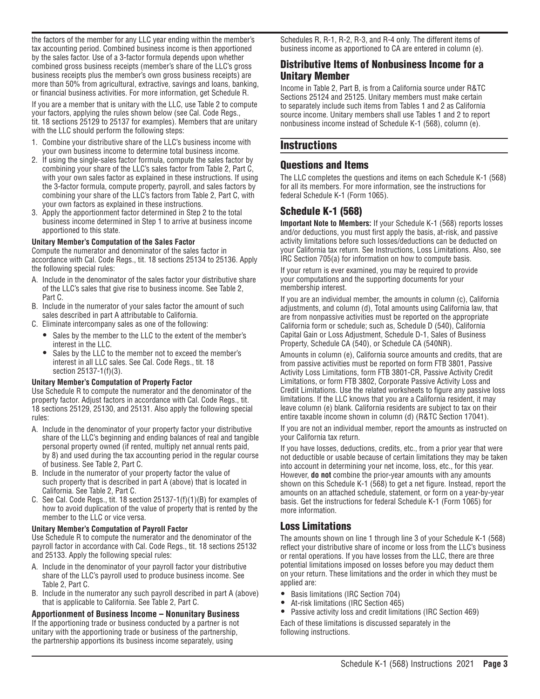the factors of the member for any LLC year ending within the member's tax accounting period. Combined business income is then apportioned by the sales factor. Use of a 3-factor formula depends upon whether combined gross business receipts (member's share of the LLC's gross business receipts plus the member's own gross business receipts) are more than 50% from agricultural, extractive, savings and loans, banking, or financial business activities. For more information, get Schedule R.

If you are a member that is unitary with the LLC, use Table 2 to compute your factors, applying the rules shown below (see Cal. Code Regs., tit. 18 sections 25129 to 25137 for examples). Members that are unitary with the LLC should perform the following steps:

- 1. Combine your distributive share of the LLC's business income with your own business income to determine total business income.
- 2. If using the single-sales factor formula, compute the sales factor by combining your share of the LLC's sales factor from Table 2, Part C, with your own sales factor as explained in these instructions. If using the 3-factor formula, compute property, payroll, and sales factors by combining your share of the LLC's factors from Table 2, Part C, with your own factors as explained in these instructions.
- 3. Apply the apportionment factor determined in Step 2 to the total business income determined in Step 1 to arrive at business income apportioned to this state.

#### **Unitary Member's Computation of the Sales Factor**

Compute the numerator and denominator of the sales factor in accordance with Cal. Code Regs., tit. 18 sections 25134 to 25136. Apply the following special rules:

- A. Include in the denominator of the sales factor your distributive share of the LLC's sales that give rise to business income. See Table 2, Part C.
- B. Include in the numerator of your sales factor the amount of such sales described in part A attributable to California.
- C. Eliminate intercompany sales as one of the following:
	- Sales by the member to the LLC to the extent of the member's interest in the LLC.
	- Sales by the LLC to the member not to exceed the member's interest in all LLC sales. See Cal. Code Regs., tit. 18 section 25137-1(f)(3).

#### **Unitary Member's Computation of Property Factor**

Use Schedule R to compute the numerator and the denominator of the property factor. Adjust factors in accordance with Cal. Code Regs., tit. 18 sections 25129, 25130, and 25131. Also apply the following special rules:

- A. Include in the denominator of your property factor your distributive share of the LLC's beginning and ending balances of real and tangible personal property owned (if rented, multiply net annual rents paid, by 8) and used during the tax accounting period in the regular course of business. See Table 2, Part C.
- B. Include in the numerator of your property factor the value of such property that is described in part A (above) that is located in California. See Table 2, Part C.
- C. See Cal. Code Regs., tit. 18 section 25137-1(f)(1)(B) for examples of how to avoid duplication of the value of property that is rented by the member to the LLC or vice versa.

#### **Unitary Member's Computation of Payroll Factor**

Use Schedule R to compute the numerator and the denominator of the payroll factor in accordance with Cal. Code Regs., tit. 18 sections 25132 and 25133. Apply the following special rules:

- A. Include in the denominator of your payroll factor your distributive share of the LLC's payroll used to produce business income. See Table 2, Part C.
- B. Include in the numerator any such payroll described in part A (above) that is applicable to California. See Table 2, Part C.

**Apportionment of Business Income – Nonunitary Business** If the apportioning trade or business conducted by a partner is not unitary with the apportioning trade or business of the partnership, the partnership apportions its business income separately, using

Schedules R, R-1, R-2, R-3, and R-4 only. The different items of business income as apportioned to CA are entered in column (e).

# Distributive Items of Nonbusiness Income for a Unitary Member

Income in Table 2, Part B, is from a California source under R&TC Sections 25124 and 25125. Unitary members must make certain to separately include such items from Tables 1 and 2 as California source income. Unitary members shall use Tables 1 and 2 to report nonbusiness income instead of Schedule K-1 (568), column (e).

# **Instructions**

# Questions and Items

The LLC completes the questions and items on each Schedule K-1 (568) for all its members. For more information, see the instructions for federal Schedule K-1 (Form 1065).

# Schedule K-1 (568)

**Important Note to Members:** If your Schedule K-1 (568) reports losses and/or deductions, you must first apply the basis, at-risk, and passive activity limitations before such losses/deductions can be deducted on your California tax return. See Instructions, Loss Limitations. Also, see IRC Section 705(a) for information on how to compute basis.

If your return is ever examined, you may be required to provide your computations and the supporting documents for your membership interest.

If you are an individual member, the amounts in column (c), California adjustments, and column (d), Total amounts using California law, that are from nonpassive activities must be reported on the appropriate California form or schedule; such as, Schedule D (540), California Capital Gain or Loss Adjustment, Schedule D-1, Sales of Business Property, Schedule CA (540), or Schedule CA (540NR).

Amounts in column (e), California source amounts and credits, that are from passive activities must be reported on form FTB 3801, Passive Activity Loss Limitations, form FTB 3801-CR, Passive Activity Credit Limitations, or form FTB 3802, Corporate Passive Activity Loss and Credit Limitations. Use the related worksheets to figure any passive loss limitations. If the LLC knows that you are a California resident, it may leave column (e) blank. California residents are subject to tax on their entire taxable income shown in column (d) (R&TC Section 17041).

If you are not an individual member, report the amounts as instructed on your California tax return.

If you have losses, deductions, credits, etc., from a prior year that were not deductible or usable because of certain limitations they may be taken into account in determining your net income, loss, etc., for this year. However, **do not** combine the prior-year amounts with any amounts shown on this Schedule K-1 (568) to get a net figure. Instead, report the amounts on an attached schedule, statement, or form on a year-by-year basis. Get the instructions for federal Schedule K-1 (Form 1065) for more information.

# Loss Limitations

The amounts shown on line 1 through line 3 of your Schedule K-1 (568) reflect your distributive share of income or loss from the LLC's business or rental operations. If you have losses from the LLC, there are three potential limitations imposed on losses before you may deduct them on your return. These limitations and the order in which they must be applied are:

- Basis limitations (IRC Section 704)
- At-risk limitations (IRC Section 465)
- Passive activity loss and credit limitations (IRC Section 469)

Each of these limitations is discussed separately in the following instructions.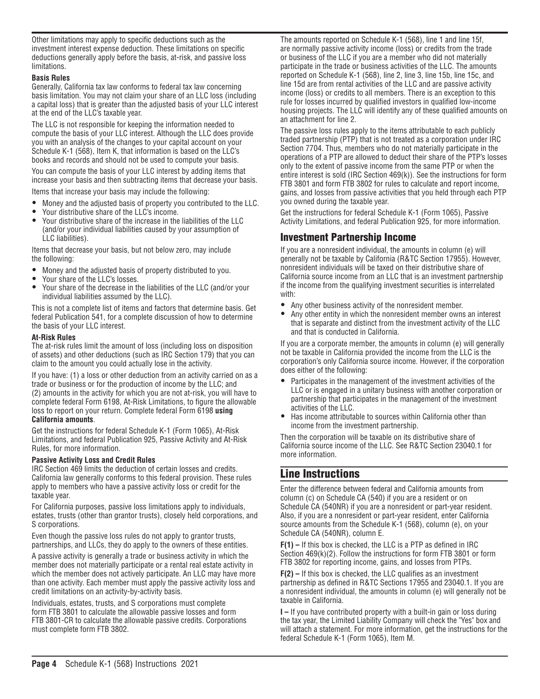Other limitations may apply to specific deductions such as the investment interest expense deduction. These limitations on specific deductions generally apply before the basis, at-risk, and passive loss limitations.

#### **Basis Rules**

Generally, California tax law conforms to federal tax law concerning basis limitation. You may not claim your share of an LLC loss (including a capital loss) that is greater than the adjusted basis of your LLC interest at the end of the LLC's taxable year.

The LLC is not responsible for keeping the information needed to compute the basis of your LLC interest. Although the LLC does provide you with an analysis of the changes to your capital account on your Schedule K-1 (568), Item K, that information is based on the LLC's books and records and should not be used to compute your basis.

You can compute the basis of your LLC interest by adding items that increase your basis and then subtracting items that decrease your basis.

Items that increase your basis may include the following:

- Money and the adjusted basis of property you contributed to the LLC.
- Your distributive share of the LLC's income.
- Your distributive share of the increase in the liabilities of the LLC (and/or your individual liabilities caused by your assumption of LLC liabilities).

Items that decrease your basis, but not below zero, may include the following:

- Money and the adjusted basis of property distributed to you.
- Your share of the LLC's losses.
- Your share of the decrease in the liabilities of the LLC (and/or your individual liabilities assumed by the LLC).

This is not a complete list of items and factors that determine basis. Get federal Publication 541, for a complete discussion of how to determine the basis of your LLC interest.

#### **At-Risk Rules**

The at-risk rules limit the amount of loss (including loss on disposition of assets) and other deductions (such as IRC Section 179) that you can claim to the amount you could actually lose in the activity.

If you have: (1) a loss or other deduction from an activity carried on as a trade or business or for the production of income by the LLC; and (2) amounts in the activity for which you are not at-risk, you will have to complete federal Form 6198, At-Risk Limitations, to figure the allowable loss to report on your return. Complete federal Form 6198 **using California amounts**.

Get the instructions for federal Schedule K-1 (Form 1065), At -Risk Limitations, and federal Publication 925, Passive Activity and At-Risk Rules, for more information.

### **Passive Activity Loss and Credit Rules**

IRC Section 469 limits the deduction of certain losses and credits. California law generally conforms to this federal provision. These rules apply to members who have a passive activity loss or credit for the taxable year.

For California purposes, passive loss limitations apply to individuals, estates, trusts (other than grantor trusts), closely held corporations, and S corporations.

Even though the passive loss rules do not apply to grantor trusts, partnerships, and LLCs, they do apply to the owners of these entities.

A passive activity is generally a trade or business activity in which the member does not materially participate or a rental real estate activity in which the member does not actively participate. An LLC may have more than one activity. Each member must apply the passive activity loss and credit limitations on an activity-by-activity basis.

Individuals, estates, trusts, and S corporations must complete form FTB 3801 to calculate the allowable passive losses and form FTB 3801-CR to calculate the allowable passive credits. Corporations must complete form FTB 3802.

The amounts reported on Schedule K-1 (568), line 1 and line 15f, are normally passive activity income (loss) or credits from the trade or business of the LLC if you are a member who did not materially participate in the trade or business activities of the LLC. The amounts reported on Schedule K-1 (568), line 2, line 3, line 15b, line 15c, and line 15d are from rental activities of the LLC and are passive activity income (loss) or credits to all members. There is an exception to this rule for losses incurred by qualified investors in qualified low-income housing projects. The LLC will identify any of these qualified amounts on an attachment for line 2.

The passive loss rules apply to the items attributable to each publicly traded partnership (PTP) that is not treated as a corporation under IRC Section 7704. Thus, members who do not materially participate in the operations of a PTP are allowed to deduct their share of the PTP's losses only to the extent of passive income from the same PTP or when the entire interest is sold (IRC Section 469(k)). See the instructions for form FTB 3801 and form FTB 3802 for rules to calculate and report income, gains, and losses from passive activities that you held through each PTP you owned during the taxable year.

Get the instructions for federal Schedule K-1 (Form 1065), Passive Activity Limitations, and federal Publication 925, for more information.

# Investment Partnership Income

If you are a nonresident individual, the amounts in column (e) will generally not be taxable by California (R&TC Section 17955). However, nonresident individuals will be taxed on their distributive share of California source income from an LLC that is an investment partnership if the income from the qualifying investment securities is interrelated with:

- Any other business activity of the nonresident member.<br>• Any other entity in which the nonresident member owns
- Any other entity in which the nonresident member owns an interest that is separate and distinct from the investment activity of the LLC and that is conducted in California.

If you are a corporate member, the amounts in column (e) will generally not be taxable in California provided the income from the LLC is the corporation's only California source income. However, if the corporation does either of the following:

- Participates in the management of the investment activities of the LLC or is engaged in a unitary business with another corporation or partnership that participates in the management of the investment activities of the LLC.
- Has income attributable to sources within California other than income from the investment partnership.

Then the corporation will be taxable on its distributive share of California source income of the LLC. See R&TC Section 23040.1 for more information.

# Line Instructions

Enter the difference between federal and California amounts from column (c) on Schedule CA (540) if you are a resident or on Schedule CA (540NR) if you are a nonresident or part-year resident. Also, if you are a nonresident or part-year resident, enter California source amounts from the Schedule K-1 (568), column (e), on your Schedule CA (540NR), column E.

**F(1) –** If this box is checked, the LLC is a PTP as defined in IRC Section 469(k)(2). Follow the instructions for form FTB 3801 or form FTB 3802 for reporting income, gains, and losses from PTPs.

**F(2) –** If this box is checked, the LLC qualifies as an investment partnership as defined in R&TC Sections 17955 and 23040.1. If you are a nonresident individual, the amounts in column (e) will generally not be taxable in California.

**I –** If you have contributed property with a built-in gain or loss during the tax year, the Limited Liability Company will check the "Yes" box and will attach a statement. For more information, get the instructions for the federal Schedule K-1 (Form 1065), Item M.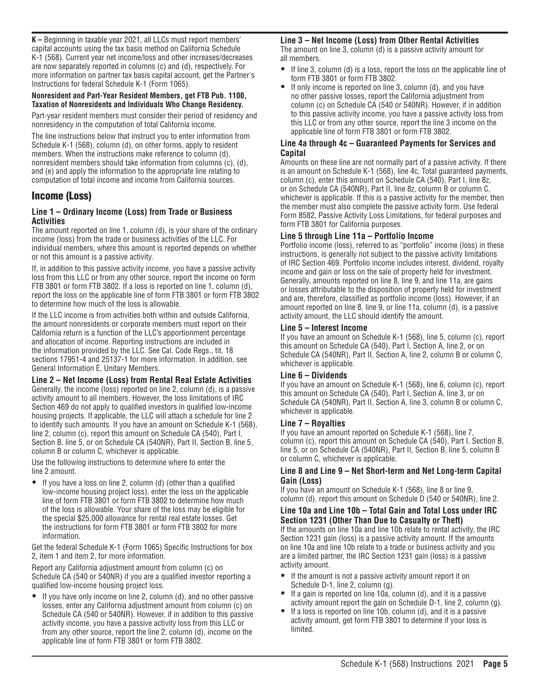**K –** Beginning in taxable year 2021, all LLCs must report members' capital accounts using the tax basis method on California Schedule K-1 (568). Current year net income/loss and other increases/decreases are now separately reported in columns (c) and (d), respectively. For more information on partner tax basis capital account, get the Partner's Instructions for federal Schedule K-1 (Form 1065).

#### **Nonresident and Part-Year Resident Members, get FTB Pub. 1100, Taxation of Nonresidents and Individuals Who Change Residency.**

Part-year resident members must consider their period of residency and nonresidency in the computation of total California income.

The line instructions below that instruct you to enter information from Schedule K-1 (568), column (d), on other forms, apply to resident members. When the instructions make reference to column (d), nonresident members should take information from columns (c), (d), and (e) and apply the information to the appropriate line relating to computation of total income and income from California sources.

# Income (Loss)

### **Line 1 – Ordinary Income (Loss) from Trade or Business Activities**

The amount reported on line 1, column (d), is your share of the ordinary income (loss) from the trade or business activities of the LLC. For individual members, where this amount is reported depends on whether or not this amount is a passive activity.

If, in addition to this passive activity income, you have a passive activity loss from this LLC or from any other source, report the income on form FTB 3801 or form FTB 3802. If a loss is reported on line 1, column (d), report the loss on the applicable line of form FTB 3801 or form FTB 3802 to determine how much of the loss is allowable.

If the LLC income is from activities both within and outside California, the amount nonresidents or corporate members must report on their California return is a function of the LLC's apportionment percentage and allocation of income. Reporting instructions are included in the information provided by the LLC. See Cal. Code Regs., tit. 18 sections 17951-4 and 25137-1 for more information. In addition, see General Information E, Unitary Members.

#### **Line 2 – Net Income (Loss) from Rental Real Estate Activities**

Generally, the income (loss) reported on line 2, column (d), is a passive activity amount to all members. However, the loss limitations of IRC Section 469 do not apply to qualified investors in qualified low-income housing projects. If applicable, the LLC will attach a schedule for line 2 to identify such amounts. If you have an amount on Schedule K-1 (568), line 2, column (c), report this amount on Schedule CA (540), Part I, Section B, line 5, or on Schedule CA (540NR), Part II, Section B, line 5, column B or column C, whichever is applicable.

Use the following instructions to determine where to enter the line 2 amount.

• If you have a loss on line 2, column (d) (other than a qualified low-income housing project loss), enter the loss on the applicable line of form FTB 3801 or form FTB 3802 to determine how much of the loss is allowable. Your share of the loss may be eligible for the special \$25,000 allowance for rental real estate losses. Get the instructions for form FTB 3801 or form FTB 3802 for more information.

Get the federal Schedule K-1 (Form 1065) Specific Instructions for box 2, item 1 and item 2, for more information.

Report any California adjustment amount from column (c) on Schedule CA (540 or 540NR) if you are a qualified investor reporting a qualified low-income housing project loss.

If you have only income on line 2, column (d), and no other passive losses, enter any California adjustment amount from column (c) on Schedule CA (540 or 540NR). However, if in addition to this passive activity income, you have a passive activity loss from this LLC or from any other source, report the line 2, column (d), income on the applicable line of form FTB 3801 or form FTB 3802.

**Line 3 – Net Income (Loss) from Other Rental Activities** The amount on line 3, column (d) is a passive activity amount for all members.

- If line 3, column (d) is a loss, report the loss on the applicable line of form FTB 3801 or form FTB 3802.
- If only income is reported on line 3, column (d), and you have no other passive losses, report the California adjustment from column (c) on Schedule CA (540 or 540NR). However, if in addition to this passive activity income, you have a passive activity loss from this LLC or from any other source, report the line 3 income on the applicable line of form FTB 3801 or form FTB 3802.

# **Line 4a through 4c – Guaranteed Payments for Services and Capital**

Amounts on these line are not normally part of a passive activity. If there is an amount on Schedule K-1 (568), line 4c, Total guaranteed payments, column (c), enter this amount on Schedule CA (540), Part I, line 8z, or on Schedule CA (540NR), Part II, line 8z, column B or column C, whichever is applicable. If this is a passive activity for the member, then the member must also complete the passive activity form. Use federal Form 8582, Passive Activity Loss Limitations, for federal purposes and form FTB 3801 for California purposes.

# **Line 5 through Line 11a – Portfolio Income**

Portfolio income (loss), referred to as "portfolio" income (loss) in these instructions, is generally not subject to the passive activity limitations of IRC Section 469. Portfolio income includes interest, dividend, royalty income and gain or loss on the sale of property held for investment. Generally, amounts reported on line 8, line 9, and line 11a, are gains or losses attributable to the disposition of property held for investment and are, therefore, classified as portfolio income (loss). However, if an amount reported on line 8, line 9, or line 11a, column (d), is a passive activity amount, the LLC should identify the amount.

### **Line 5 – Interest Income**

If you have an amount on Schedule K-1 (568), line 5, column (c), report this amount on Schedule CA (540), Part I, Section A, line 2, or on Schedule CA (540NR), Part II, Section A, line 2, column B or column C, whichever is applicable.

### **Line 6 – Dividends**

If you have an amount on Schedule K-1 (568), line 6, column (c), report this amount on Schedule CA (540), Part I, Section A, line 3, or on Schedule CA (540NR), Part II, Section A, line 3, column B or column C, whichever is applicable.

# **Line 7 – Royalties**

If you have an amount reported on Schedule K-1 (568), line 7, column (c), report this amount on Schedule CA (540), Part I, Section B, line 5, or on Schedule CA (540NR), Part II, Section B, line 5, column B or column C, whichever is applicable.

#### **Line 8 and Line 9 – Net Short-term and Net Long-term Capital Gain (Loss)**

If you have an amount on Schedule K-1 (568), line 8 or line 9, column (d), report this amount on Schedule D (540 or 540NR), line 2.

# **Line 10a and Line 10b – Total Gain and Total Loss under IRC Section 1231 (Other Than Due to Casualty or Theft)**

If the amounts on line 10a and line 10b relate to rental activity, the IRC Section 1231 gain (loss) is a passive activity amount. If the amounts on line 10a and line 10b relate to a trade or business activity and you are a limited partner, the IRC Section 1231 gain (loss) is a passive activity amount.

- If the amount is not a passive activity amount report it on Schedule D-1, line 2, column (g).
- If a gain is reported on line 10a, column (d), and it is a passive activity amount report the gain on Schedule D-1, line 2, column (g).
- If a loss is reported on line 10b, column (d), and it is a passive activity amount, get form FTB 3801 to determine if your loss is limited.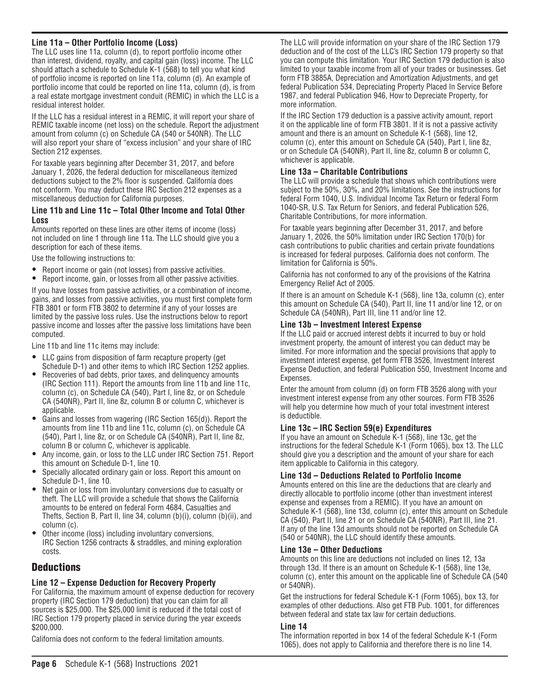# **Line 11a – Other Portfolio Income (Loss)**

The LLC uses line 11a, column (d), to report portfolio income other than interest, dividend, royalty, and capital gain (loss) income. The LLC should attach a schedule to Schedule K-1 (568) to tell you what kind of portfolio income is reported on line 11a, column (d). An example of portfolio income that could be reported on line 11a, column (d), is from a real estate mortgage investment conduit (REMIC) in which the LLC is a residual interest holder.

If the LLC has a residual interest in a REMIC, it will report your share of REMIC taxable income (net loss) on the schedule. Report the adjustment amount from column (c) on Schedule CA (540 or 540NR). The LLC will also report your share of "excess inclusion" and your share of IRC Section 212 expenses.

For taxable years beginning after December 31, 2017, and before January 1, 2026, the federal deduction for miscellaneous itemized deductions subject to the 2% floor is suspended. California does not conform. You may deduct these IRC Section 212 expenses as a miscellaneous deduction for California purposes.

#### **Line 11b and Line 11c – Total Other Income and Total Other Loss**

Amounts reported on these lines are other items of income (loss) not included on line 1 through line 11a. The LLC should give you a description for each of these items.

Use the following instructions to:

- Report income or gain (not losses) from passive activities.
- Report income, gain, or losses from all other passive activities.

If you have losses from passive activities, or a combination of income, gains, and losses from passive activities, you must first complete form FTB 3801 or form FTB 3802 to determine if any of your losses are limited by the passive loss rules. Use the instructions below to report passive income and losses after the passive loss limitations have been computed.

Line 11b and line 11c items may include:

- LLC gains from disposition of farm recapture property (get Schedule D-1) and other items to which IRC Section 1252 applies.
- Recoveries of bad debts, prior taxes, and delinquency amounts (IRC Section 111). Report the amounts from line 11b and line 11c, column (c), on Schedule CA (540), Part I, line 8z, or on Schedule CA (540NR), Part II, line 8z, column B or column C, whichever is applicable.
- Gains and losses from wagering (IRC Section 165(d)). Report the amounts from line 11b and line 11c, column (c), on Schedule CA (540), Part I, line 8z, or on Schedule CA (540NR), Part II, line 8z, column B or column C, whichever is applicable.
- Any income, gain, or loss to the LLC under IRC Section 751. Report this amount on Schedule D-1, line 10.
- Specially allocated ordinary gain or loss. Report this amount on Schedule D-1, line 10.
- Net gain or loss from involuntary conversions due to casualty or theft. The LLC will provide a schedule that shows the California amounts to be entered on federal Form 4684, Casualties and Thefts, Section B, Part II, line 34, column (b)(i), column (b)(ii), and column (c).
- Other income (loss) including involuntary conversions, IRC Section 1256 contracts & straddles, and mining exploration costs.

# **Deductions**

# **Line 12 – Expense Deduction for Recovery Property**

For California, the maximum amount of expense deduction for recovery property (IRC Section 179 deduction) that you can claim for all sources is \$25,000. The \$25,000 limit is reduced if the total cost of IRC Section 179 property placed in service during the year exceeds \$200,000.

California does not conform to the federal limitation amounts.

The LLC will provide information on your share of the IRC Section 179 deduction and of the cost of the LLC's IRC Section 179 property so that you can compute this limitation. Your IRC Section 179 deduction is also limited to your taxable income from all of your trades or businesses. Get form FTB 3885A, Depreciation and Amortization Adjustments, and get federal Publication 534, Depreciating Property Placed In Service Before 1987, and federal Publication 946, How to Depreciate Property, for more information.

If the IRC Section 179 deduction is a passive activity amount, report it on the applicable line of form FTB 3801. If it is not a passive activity amount and there is an amount on Schedule K-1 (568), line 12, column (c), enter this amount on Schedule CA (540), Part I, line 8z, or on Schedule CA (540NR), Part II, line 8z, column B or column C, whichever is applicable.

# **Line 13a – Charitable Contributions**

The LLC will provide a schedule that shows which contributions were subject to the 50%, 30%, and 20% limitations. See the instructions for federal Form 1040, U.S. Individual Income Tax Return or federal Form 1040-SR, U.S. Tax Return for Seniors, and federal Publication 526, Charitable Contributions, for more information.

For taxable years beginning after December 31, 2017, and before January 1, 2026, the 50% limitation under IRC Section 170(b) for cash contributions to public charities and certain private foundations is increased for federal purposes. California does not conform. The limitation for California is 50%.

California has not conformed to any of the provisions of the Katrina Emergency Relief Act of 2005.

If there is an amount on Schedule K-1 (568), line 13a, column (c), enter this amount on Schedule CA (540), Part II, line 11 and/or line 12, or on Schedule CA (540NR), Part III, line 11 and/or line 12.

### **Line 13b – Investment Interest Expense**

If the LLC paid or accrued interest debts it incurred to buy or hold investment property, the amount of interest you can deduct may be limited. For more information and the special provisions that apply to investment interest expense, get form FTB 3526, Investment Interest Expense Deduction, and federal Publication 550, Investment Income and Expenses.

Enter the amount from column (d) on form FTB 3526 along with your investment interest expense from any other sources. Form FTB 3526 will help you determine how much of your total investment interest is deductible.

# **Line 13c – IRC Section 59(e) Expenditures**

If you have an amount on Schedule K-1 (568), line 13c, get the instructions for the federal Schedule K-1 (Form 1065), box 13. The LLC should give you a description and the amount of your share for each item applicable to California in this category.

### **Line 13d – Deductions Related to Portfolio Income**

Amounts entered on this line are the deductions that are clearly and directly allocable to portfolio income (other than investment interest expense and expenses from a REMIC). If you have an amount on Schedule K-1 (568), line 13d, column (c), enter this amount on Schedule CA (540), Part II, line 21 or on Schedule CA (540NR), Part III, line 21. If any of the line 13d amounts should not be reported on Schedule CA (540 or 540NR), the LLC should identify these amounts.

### **Line 13e – Other Deductions**

Amounts on this line are deductions not included on lines 12, 13a through 13d. If there is an amount on Schedule K-1 (568), line 13e, column (c), enter this amount on the applicable line of Schedule CA (540 or 540NR).

Get the instructions for federal Schedule K-1 (Form 1065), box 13, for examples of other deductions. Also get FTB Pub. 1001, for differences between federal and state tax law for certain deductions.

#### **Line 14**

The information reported in box 14 of the federal Schedule K-1 (Form 1065), does not apply to California and therefore there is no line 14.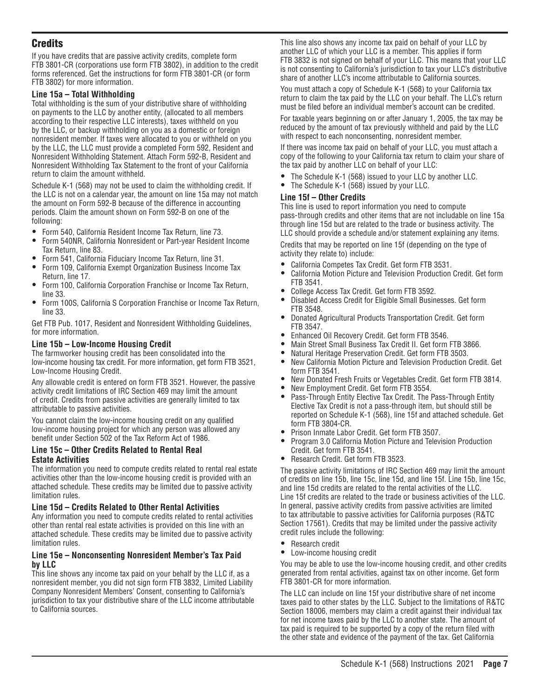# **Credits**

If you have credits that are passive activity credits, complete form FTB 3801-CR (corporations use form FTB 3802), in addition to the credit forms referenced. Get the instructions for form FTB 3801-CR (or form FTB 3802) for more information.

# **Line 15a – Total Withholding**

Total withholding is the sum of your distributive share of withholding on payments to the LLC by another entity, (allocated to all members according to their respective LLC interests), taxes withheld on you by the LLC, or backup withholding on you as a domestic or foreign nonresident member. If taxes were allocated to you or withheld on you by the LLC, the LLC must provide a completed Form 592, Resident and Nonresident Withholding Statement. Attach Form 592-B, Resident and Nonresident Withholding Tax Statement to the front of your California return to claim the amount withheld.

Schedule K-1 (568) may not be used to claim the withholding credit. If the LLC is not on a calendar year, the amount on line 15a may not match the amount on Form 592-B because of the difference in accounting periods. Claim the amount shown on Form 592-B on one of the following:

- Form 540, California Resident Income Tax Return, line 73.
- Form 540NR, California Nonresident or Part-year Resident Income Tax Return, line 83.
- Form 541, California Fiduciary Income Tax Return, line 31.
- Form 109, California Exempt Organization Business Income Tax Return, line 17.
- Form 100, California Corporation Franchise or Income Tax Return, line 33.
- Form 100S, California S Corporation Franchise or Income Tax Return, line 33.

Get FTB Pub. 1017, Resident and Nonresident Withholding Guidelines, for more information.

# **Line 15b – Low-Income Housing Credit**

The farmworker housing credit has been consolidated into the low-income housing tax credit. For more information, get form FTB 3521, Low-Income Housing Credit.

Any allowable credit is entered on form FTB 3521. However, the passive activity credit limitations of IRC Section 469 may limit the amount of credit. Credits from passive activities are generally limited to tax attributable to passive activities.

You cannot claim the low-income housing credit on any qualified low-income housing project for which any person was allowed any benefit under Section 502 of the Tax Reform Act of 1986.

#### **Line 15c – Other Credits Related to Rental Real Estate Activities**

The information you need to compute credits related to rental real estate activities other than the low-income housing credit is provided with an attached schedule. These credits may be limited due to passive activity limitation rules.

### **Line 15d – Credits Related to Other Rental Activities**

Any information you need to compute credits related to rental activities other than rental real estate activities is provided on this line with an attached schedule. These credits may be limited due to passive activity limitation rules.

#### **Line 15e – Nonconsenting Nonresident Member's Tax Paid by LLC**

This line shows any income tax paid on your behalf by the LLC if, as a nonresident member, you did not sign form FTB 3832, Limited Liability Company Nonresident Members' Consent, consenting to California's jurisdiction to tax your distributive share of the LLC income attributable to California sources.

This line also shows any income tax paid on behalf of your LLC by another LLC of which your LLC is a member. This applies if form FTB 3832 is not signed on behalf of your LLC. This means that your LLC is not consenting to California's jurisdiction to tax your LLC's distributive share of another LLC's income attributable to California sources.

You must attach a copy of Schedule K-1 (568) to your California tax return to claim the tax paid by the LLC on your behalf. The LLC's return must be filed before an individual member's account can be credited.

For taxable years beginning on or after January 1, 2005, the tax may be reduced by the amount of tax previously withheld and paid by the LLC with respect to each nonconsenting, nonresident member.

If there was income tax paid on behalf of your LLC, you must attach a copy of the following to your California tax return to claim your share of the tax paid by another LLC on behalf of your LLC:

- The Schedule K-1 (568) issued to your LLC by another LLC.
- The Schedule K-1 (568) issued by your LLC.

# **Line 15f – Other Credits**

This line is used to report information you need to compute pass-through credits and other items that are not includable on line 15a through line 15d but are related to the trade or business activity. The LLC should provide a schedule and/or statement explaining any items.

Credits that may be reported on line 15f (depending on the type of activity they relate to) include:

- California Competes Tax Credit. Get form FTB 3531.
- California Motion Picture and Television Production Credit. Get form FTB 3541.
- College Access Tax Credit. Get form FTB 3592.
- Disabled Access Credit for Eligible Small Businesses. Get form FTB 3548.
- Donated Agricultural Products Transportation Credit. Get form FTB 3547.
- Enhanced Oil Recovery Credit. Get form FTB 3546.
- Main Street Small Business Tax Credit II. Get form FTB 3866.
- Natural Heritage Preservation Credit. Get form FTB 3503.
- New California Motion Picture and Television Production Credit. Get form FTB 3541.
- New Donated Fresh Fruits or Vegetables Credit. Get form FTB 3814.
- New Employment Credit. Get form FTB 3554.<br>• Pass-Through Entity Elective Tax Credit. The L
- Pass-Through Entity Elective Tax Credit. The Pass-Through Entity Elective Tax Credit is not a pass-through item, but should still be reported on Schedule K-1 (568), line 15f and attached schedule. Get form FTB 3804-CR.
- Prison Inmate Labor Credit. Get form FTB 3507.
- Program 3.0 California Motion Picture and Television Production Credit. Get form FTB 3541.
- Research Credit. Get form FTB 3523.

The passive activity limitations of IRC Section 469 may limit the amount of credits on line 15b, line 15c, line 15d, and line 15f. Line 15b, line 15c, and line 15d credits are related to the rental activities of the LLC. Line 15f credits are related to the trade or business activities of the LLC. In general, passive activity credits from passive activities are limited to tax attributable to passive activities for California purposes (R&TC Section 17561). Credits that may be limited under the passive activity credit rules include the following:

- Research credit<br>• Low-income hour
- Low-income housing credit

You may be able to use the low-income housing credit, and other credits generated from rental activities, against tax on other income. Get form FTB 3801-CR for more information.

The LLC can include on line 15f your distributive share of net income taxes paid to other states by the LLC. Subject to the limitations of R&TC Section 18006, members may claim a credit against their individual tax for net income taxes paid by the LLC to another state. The amount of tax paid is required to be supported by a copy of the return filed with the other state and evidence of the payment of the tax. Get California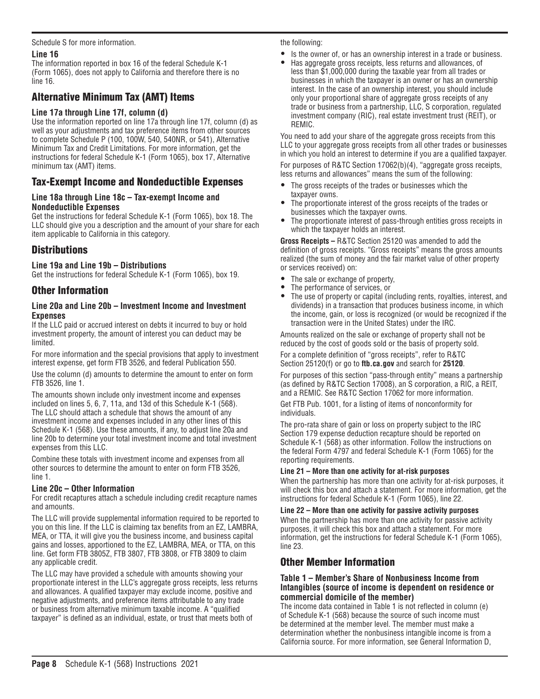### Schedule S for more information.

# **Line 16**

The information reported in box 16 of the federal Schedule K-1 (Form 1065), does not apply to California and therefore there is no line 16.

# Alternative Minimum Tax (AMT) Items

# **Line 17a through Line 17f, column (d)**

Use the information reported on line 17a through line 17f, column (d) as well as your adjustments and tax preference items from other sources to complete Schedule P (100, 100W, 540, 540NR, or 541), Alternative Minimum Tax and Credit Limitations. For more information, get the instructions for federal Schedule K-1 (Form 1065), box 17, Alternative minimum tax (AMT) items.

# Tax-Exempt Income and Nondeductible Expenses

### **Line 18a through Line 18c – Tax-exempt Income and Nondeductible Expenses**

Get the instructions for federal Schedule K-1 (Form 1065), box 18. The LLC should give you a description and the amount of your share for each item applicable to California in this category.

# **Distributions**

# **Line 19a and Line 19b – Distributions**

Get the instructions for federal Schedule K-1 (Form 1065), box 19.

# Other Information

### **Line 20a and Line 20b – Investment Income and Investment Expenses**

If the LLC paid or accrued interest on debts it incurred to buy or hold investment property, the amount of interest you can deduct may be limited.

For more information and the special provisions that apply to investment interest expense, get form FTB 3526, and federal Publication 550.

Use the column (d) amounts to determine the amount to enter on form FTB 3526, line 1.

The amounts shown include only investment income and expenses included on lines 5, 6, 7, 11a, and 13d of this Schedule K-1 (568). The LLC should attach a schedule that shows the amount of any investment income and expenses included in any other lines of this Schedule K-1 (568). Use these amounts, if any, to adjust line 20a and line 20b to determine your total investment income and total investment expenses from this LLC.

Combine these totals with investment income and expenses from all other sources to determine the amount to enter on form FTB 3526, line 1.

### **Line 20c – Other Information**

For credit recaptures attach a schedule including credit recapture names and amounts.

The LLC will provide supplemental information required to be reported to you on this line. If the LLC is claiming tax benefits from an EZ, LAMBRA, MEA, or TTA, it will give you the business income, and business capital gains and losses, apportioned to the EZ, LAMBRA, MEA, or TTA, on this line. Get form FTB 3805Z, FTB 3807, FTB 3808, or FTB 3809 to claim any applicable credit.

The LLC may have provided a schedule with amounts showing your proportionate interest in the LLC's aggregate gross receipts, less returns and allowances. A qualified taxpayer may exclude income, positive and negative adjustments, and preference items attributable to any trade or business from alternative minimum taxable income. A "qualified taxpayer" is defined as an individual, estate, or trust that meets both of

the following:

- Is the owner of, or has an ownership interest in a trade or business.
- Has aggregate gross receipts, less returns and allowances, of less than \$1,000,000 during the taxable year from all trades or businesses in which the taxpayer is an owner or has an ownership interest. In the case of an ownership interest, you should include only your proportional share of aggregate gross receipts of any trade or business from a partnership, LLC, S corporation, regulated investment company (RIC), real estate investment trust (REIT), or REMIC.

You need to add your share of the aggregate gross receipts from this LLC to your aggregate gross receipts from all other trades or businesses in which you hold an interest to determine if you are a qualified taxpayer.

For purposes of R&TC Section 17062(b)(4), "aggregate gross receipts, less returns and allowances" means the sum of the following:

- The gross receipts of the trades or businesses which the taxpayer owns.
- The proportionate interest of the gross receipts of the trades or businesses which the taxpayer owns.
- The proportionate interest of pass-through entities gross receipts in which the taxpayer holds an interest.

**Gross Receipts –** R&TC Section 25120 was amended to add the definition of gross receipts. "Gross receipts" means the gross amounts realized (the sum of money and the fair market value of other property or services received) on:

- The sale or exchange of property,
- The performance of services, or<br>• The use of property or capital (in
- The use of property or capital (including rents, royalties, interest, and dividends) in a transaction that produces business income, in which the income, gain, or loss is recognized (or would be recognized if the transaction were in the United States) under the IRC.

Amounts realized on the sale or exchange of property shall not be reduced by the cost of goods sold or the basis of property sold.

For a complete definition of "gross receipts", refer to R&TC Section 25120(f) or go to **ftb.ca.gov** and search for **25120**.

For purposes of this section "pass-through entity" means a partnership (as defined by R&TC Section 17008), an S corporation, a RIC, a REIT, and a REMIC. See R&TC Section 17062 for more information.

Get FTB Pub. 1001, for a listing of items of nonconformity for individuals.

The pro-rata share of gain or loss on property subject to the IRC Section 179 expense deduction recapture should be reported on Schedule K-1 (568) as other information. Follow the instructions on the federal Form 4797 and federal Schedule K-1 (Form 1065) for the reporting requirements.

### **Line 21 – More than one activity for at-risk purposes**

When the partnership has more than one activity for at-risk purposes, it will check this box and attach a statement. For more information, get the instructions for federal Schedule K-1 (Form 1065), line 22.

### **Line 22 – More than one activity for passive activity purposes**

When the partnership has more than one activity for passive activity purposes, it will check this box and attach a statement. For more information, get the instructions for federal Schedule K-1 (Form 1065), line 23.

# Other Member Information

#### **Table 1 – Member's Share of Nonbusiness Income from Intangibles (source of income is dependent on residence or commercial domicile of the member)**

The income data contained in Table 1 is not reflected in column (e) of Schedule K-1 (568) because the source of such income must be determined at the member level. The member must make a determination whether the nonbusiness intangible income is from a California source. For more information, see General Information D,